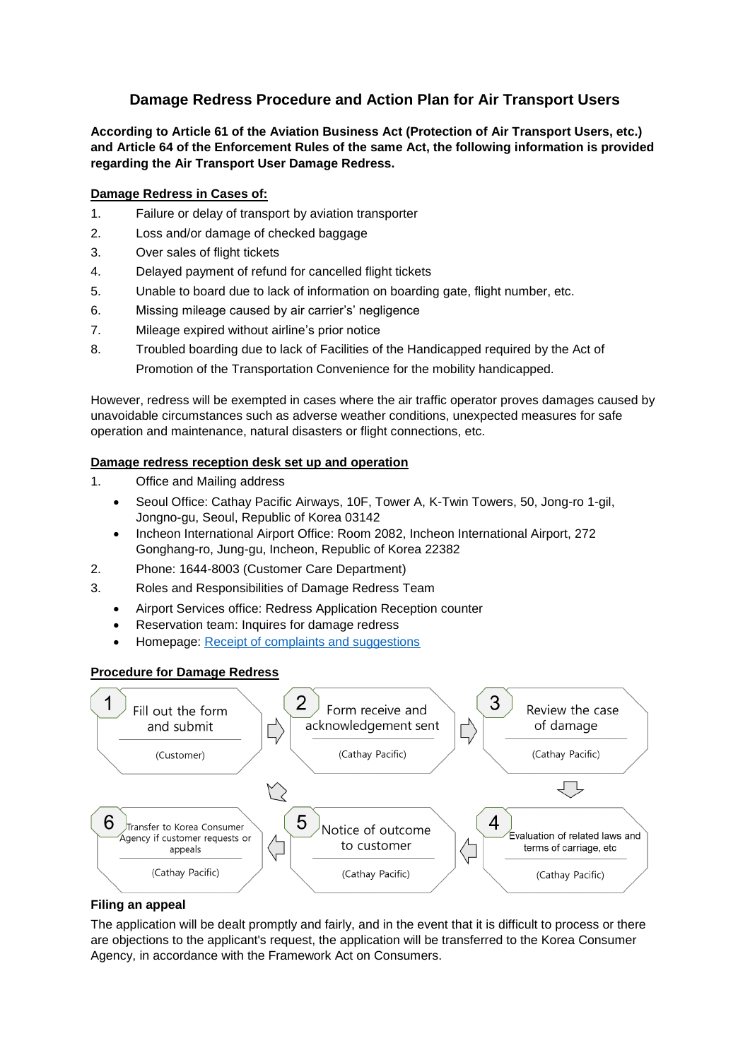# **Damage Redress Procedure and Action Plan for Air Transport Users**

**According to Article 61 of the Aviation Business Act (Protection of Air Transport Users, etc.) and Article 64 of the Enforcement Rules of the same Act, the following information is provided regarding the Air Transport User Damage Redress.**

## **Damage Redress in Cases of:**

- 1. Failure or delay of transport by aviation transporter
- 2. Loss and/or damage of checked baggage
- 3. Over sales of flight tickets
- 4. Delayed payment of refund for cancelled flight tickets
- 5. Unable to board due to lack of information on boarding gate, flight number, etc.
- 6. Missing mileage caused by air carrier's' negligence
- 7. Mileage expired without airline's prior notice
- 8. Troubled boarding due to lack of Facilities of the Handicapped required by the Act of Promotion of the Transportation Convenience for the mobility handicapped.

However, redress will be exempted in cases where the air traffic operator proves damages caused by unavoidable circumstances such as adverse weather conditions, unexpected measures for safe operation and maintenance, natural disasters or flight connections, etc.

### **Damage redress reception desk set up and operation**

- 1. Office and Mailing address
	- Seoul Office: Cathay Pacific Airways, 10F, Tower A, K-Twin Towers, 50, Jong-ro 1-gil, Jongno-gu, Seoul, Republic of Korea 03142
	- Incheon International Airport Office: Room 2082, Incheon International Airport, 272 Gonghang-ro, Jung-gu, Incheon, Republic of Korea 22382
- 2. Phone: 1644-8003 (Customer Care Department)
- 3. Roles and Responsibilities of Damage Redress Team
	- Airport Services office: Redress Application Reception counter
	- Reservation team: Inquires for damage redress
	- Homepage: [Receipt of complaints and suggestions](https://www.cathaypacific.com/cx/en_KR/about-us/contact-us/complaints-and-suggestions.html)

#### **Procedure for Damage Redress**



#### **Filing an appeal**

The application will be dealt promptly and fairly, and in the event that it is difficult to process or there are objections to the applicant's request, the application will be transferred to the Korea Consumer Agency, in accordance with the Framework Act on Consumers.